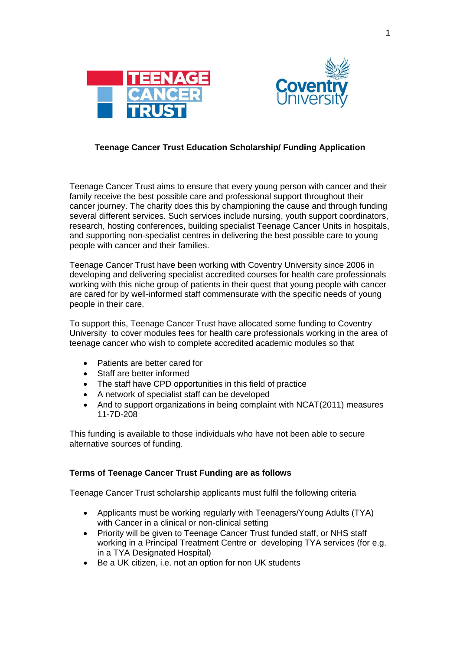



## **Teenage Cancer Trust Education Scholarship/ Funding Application**

Teenage Cancer Trust aims to ensure that every young person with cancer and their family receive the best possible care and professional support throughout their cancer journey. The charity does this by championing the cause and through funding several different services. Such services include nursing, youth support coordinators, research, hosting conferences, building specialist Teenage Cancer Units in hospitals, and supporting non-specialist centres in delivering the best possible care to young people with cancer and their families.

Teenage Cancer Trust have been working with Coventry University since 2006 in developing and delivering specialist accredited courses for health care professionals working with this niche group of patients in their quest that young people with cancer are cared for by well-informed staff commensurate with the specific needs of young people in their care.

To support this, Teenage Cancer Trust have allocated some funding to Coventry University to cover modules fees for health care professionals working in the area of teenage cancer who wish to complete accredited academic modules so that

- Patients are better cared for
- Staff are better informed
- The staff have CPD opportunities in this field of practice
- A network of specialist staff can be developed
- And to support organizations in being complaint with NCAT(2011) measures 11-7D-208

This funding is available to those individuals who have not been able to secure alternative sources of funding.

### **Terms of Teenage Cancer Trust Funding are as follows**

Teenage Cancer Trust scholarship applicants must fulfil the following criteria

- Applicants must be working regularly with Teenagers/Young Adults (TYA) with Cancer in a clinical or non-clinical setting
- Priority will be given to Teenage Cancer Trust funded staff, or NHS staff working in a Principal Treatment Centre or developing TYA services (for e.g. in a TYA Designated Hospital)
- Be a UK citizen, i.e. not an option for non UK students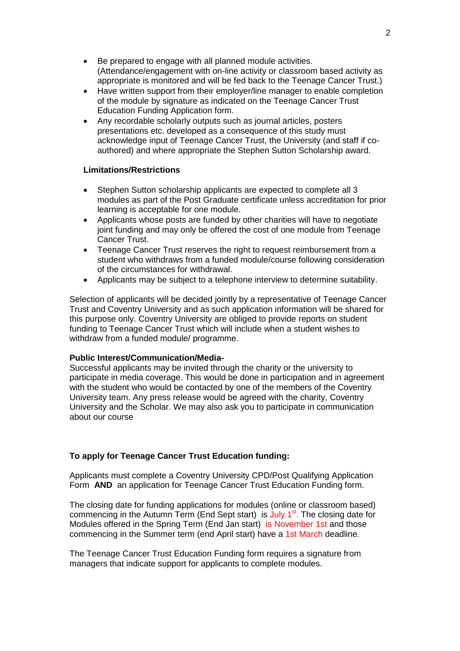- Be prepared to engage with all planned module activities. (Attendance/engagement with on-line activity or classroom based activity as appropriate is monitored and will be fed back to the Teenage Cancer Trust.)
- Have written support from their employer/line manager to enable completion of the module by signature as indicated on the Teenage Cancer Trust Education Funding Application form.
- Any recordable scholarly outputs such as journal articles, posters presentations etc. developed as a consequence of this study must acknowledge input of Teenage Cancer Trust, the University (and staff if coauthored) and where appropriate the Stephen Sutton Scholarship award.

#### **Limitations/Restrictions**

- Stephen Sutton scholarship applicants are expected to complete all 3 modules as part of the Post Graduate certificate unless accreditation for prior learning is acceptable for one module.
- Applicants whose posts are funded by other charities will have to negotiate joint funding and may only be offered the cost of one module from Teenage Cancer Trust.
- Teenage Cancer Trust reserves the right to request reimbursement from a student who withdraws from a funded module/course following consideration of the circumstances for withdrawal.
- Applicants may be subject to a telephone interview to determine suitability.

Selection of applicants will be decided jointly by a representative of Teenage Cancer Trust and Coventry University and as such application information will be shared for this purpose only. Coventry University are obliged to provide reports on student funding to Teenage Cancer Trust which will include when a student wishes to withdraw from a funded module/ programme.

#### **Public Interest/Communication/Media-**

Successful applicants may be invited through the charity or the university to participate in media coverage. This would be done in participation and in agreement with the student who would be contacted by one of the members of the Coventry University team. Any press release would be agreed with the charity, Coventry University and the Scholar. We may also ask you to participate in communication about our course

### **To apply for Teenage Cancer Trust Education funding:**

Applicants must complete a Coventry University CPD/Post Qualifying Application Form **AND** an application for Teenage Cancer Trust Education Funding form.

The closing date for funding applications for modules (online or classroom based) commencing in the Autumn Term (End Sept start) is July  $1<sup>st</sup>$ . The closing date for Modules offered in the Spring Term (End Jan start) is November 1st and those commencing in the Summer term (end April start) have a 1st March deadline.

The Teenage Cancer Trust Education Funding form requires a signature from managers that indicate support for applicants to complete modules.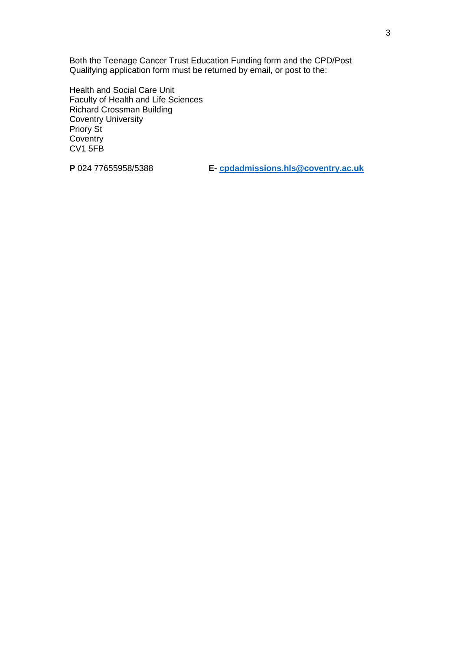Both the Teenage Cancer Trust Education Funding form and the CPD/Post Qualifying application form must be returned by email, or post to the:

Health and Social Care Unit Faculty of Health and Life Sciences Richard Crossman Building Coventry University Priory St **Coventry** CV1 5FB

**P** 024 77655958/5388 **E- [cpdadmissions.hls@coventry.ac.uk](mailto:cpdadmissions.hls@coventry.ac.uk)**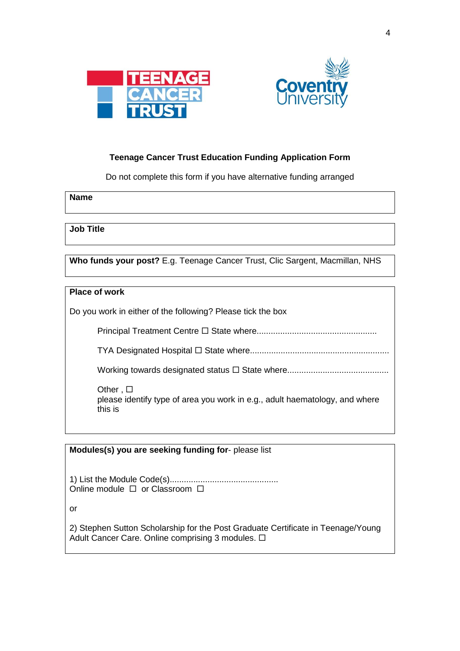



# **Teenage Cancer Trust Education Funding Application Form**

Do not complete this form if you have alternative funding arranged

**Name**

**Job Title**

**Who funds your post?** E.g. Teenage Cancer Trust, Clic Sargent, Macmillan, NHS

#### **Place of work**

Do you work in either of the following? Please tick the box

Principal Treatment Centre State where...................................................

TYA Designated Hospital State where...........................................................

Working towards designated status State where...........................................

Other .  $\square$ please identify type of area you work in e.g., adult haematology, and where this is

**Modules(s) you are seeking funding for**- please list

1) List the Module Code(s).............................................. Online module  $\Box$  or Classroom  $\Box$ 

or

2) Stephen Sutton Scholarship for the Post Graduate Certificate in Teenage/Young Adult Cancer Care. Online comprising 3 modules.  $\square$